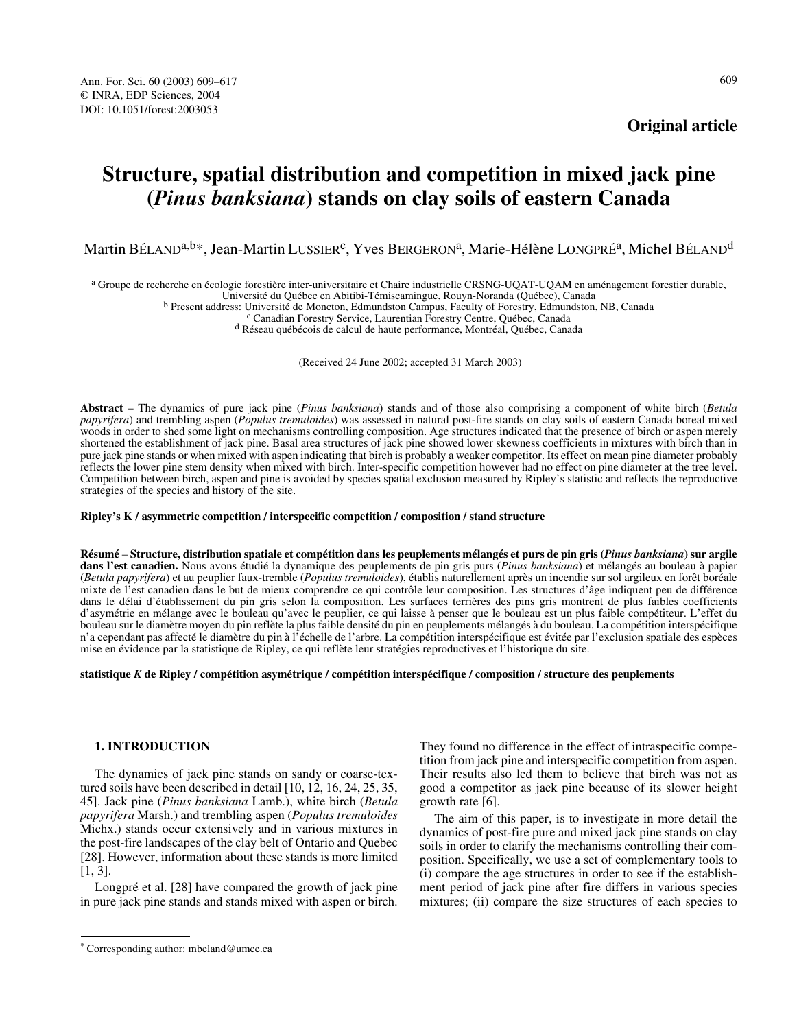# **Structure, spatial distribution and competition in mixed jack pine (***Pinus banksiana***) stands on clay soils of eastern Canada**

Martin BÉLAND<sup>a,b\*</sup>, Jean-Martin LUSSIER<sup>c</sup>, Yves BERGERON<sup>a</sup>, Marie-Hélène LONGPRÉ<sup>a</sup>, Michel BÉLAND<sup>d</sup>

<sup>a</sup> Groupe de recherche en écologie forestière inter-universitaire et Chaire industrielle CRSNG-UQAT-UQAM en aménagement forestier durable,<br>Université du Québec en Abitibi-Témiscamingue, Rouyn-Noranda (Québec), Canada

<sup>b</sup> Present address: Université de Moncton, Edmundston Campus, Faculty of Forestry, Edmundston, NB, Canada<sup>c</sup> Canadian Forestry Service, Laurentian Forestry Centre, Québec, Canada<sup>d</sup> Réseau québécois de calcul de haute per

(Received 24 June 2002; accepted 31 March 2003)

**Abstract** – The dynamics of pure jack pine (*Pinus banksiana*) stands and of those also comprising a component of white birch (*Betula papyrifera*) and trembling aspen (*Populus tremuloides*) was assessed in natural post-fire stands on clay soils of eastern Canada boreal mixed woods in order to shed some light on mechanisms controlling composition. Age structures indicated that the presence of birch or aspen merely shortened the establishment of jack pine. Basal area structures of jack pine showed lower skewness coefficients in mixtures with birch than in pure jack pine stands or when mixed with aspen indicating that birch is probably a weaker competitor. Its effect on mean pine diameter probably reflects the lower pine stem density when mixed with birch. Inter-specific competition however had no effect on pine diameter at the tree level. Competition between birch, aspen and pine is avoided by species spatial exclusion measured by Ripley's statistic and reflects the reproductive strategies of the species and history of the site.

#### **Ripley's K / asymmetric competition / interspecific competition / composition / stand structure**

**Résumé** – **Structure, distribution spatiale et compétition dans les peuplements mélangés et purs de pin gris (***Pinus banksiana***) sur argile dans l'est canadien.** Nous avons étudié la dynamique des peuplements de pin gris purs (*Pinus banksiana*) et mélangés au bouleau à papier (*Betula papyrifera*) et au peuplier faux-tremble (*Populus tremuloides*), établis naturellement après un incendie sur sol argileux en forêt boréale mixte de l'est canadien dans le but de mieux comprendre ce qui contrôle leur composition. Les structures d'âge indiquent peu de différence dans le délai d'établissement du pin gris selon la composition. Les surfaces terrières des pins gris montrent de plus faibles coefficients d'asymétrie en mélange avec le bouleau qu'avec le peuplier, ce qui laisse à penser que le bouleau est un plus faible compétiteur. L'effet du bouleau sur le diamètre moyen du pin reflète la plus faible densité du pin en peuplements mélangés à du bouleau. La compétition interspécifique n'a cependant pas affecté le diamètre du pin à l'échelle de l'arbre. La compétition interspécifique est évitée par l'exclusion spatiale des espèces mise en évidence par la statistique de Ripley, ce qui reflète leur stratégies reproductives et l'historique du site.

**statistique** *K* **de Ripley / compétition asymétrique / compétition interspécifique / composition / structure des peuplements**

# **1. INTRODUCTION**

The dynamics of jack pine stands on sandy or coarse-textured soils have been described in detail [10, 12, 16, 24, 25, 35, 45]. Jack pine (*Pinus banksiana* Lamb.), white birch (*Betula papyrifera* Marsh.) and trembling aspen (*Populus tremuloides* Michx.) stands occur extensively and in various mixtures in the post-fire landscapes of the clay belt of Ontario and Quebec [28]. However, information about these stands is more limited [1, 3].

Longpré et al. [28] have compared the growth of jack pine in pure jack pine stands and stands mixed with aspen or birch.

They found no difference in the effect of intraspecific competition from jack pine and interspecific competition from aspen. Their results also led them to believe that birch was not as good a competitor as jack pine because of its slower height growth rate [6].

The aim of this paper, is to investigate in more detail the dynamics of post-fire pure and mixed jack pine stands on clay soils in order to clarify the mechanisms controlling their composition. Specifically, we use a set of complementary tools to (i) compare the age structures in order to see if the establishment period of jack pine after fire differs in various species mixtures; (ii) compare the size structures of each species to

<sup>\*</sup> Corresponding author: mbeland@umce.ca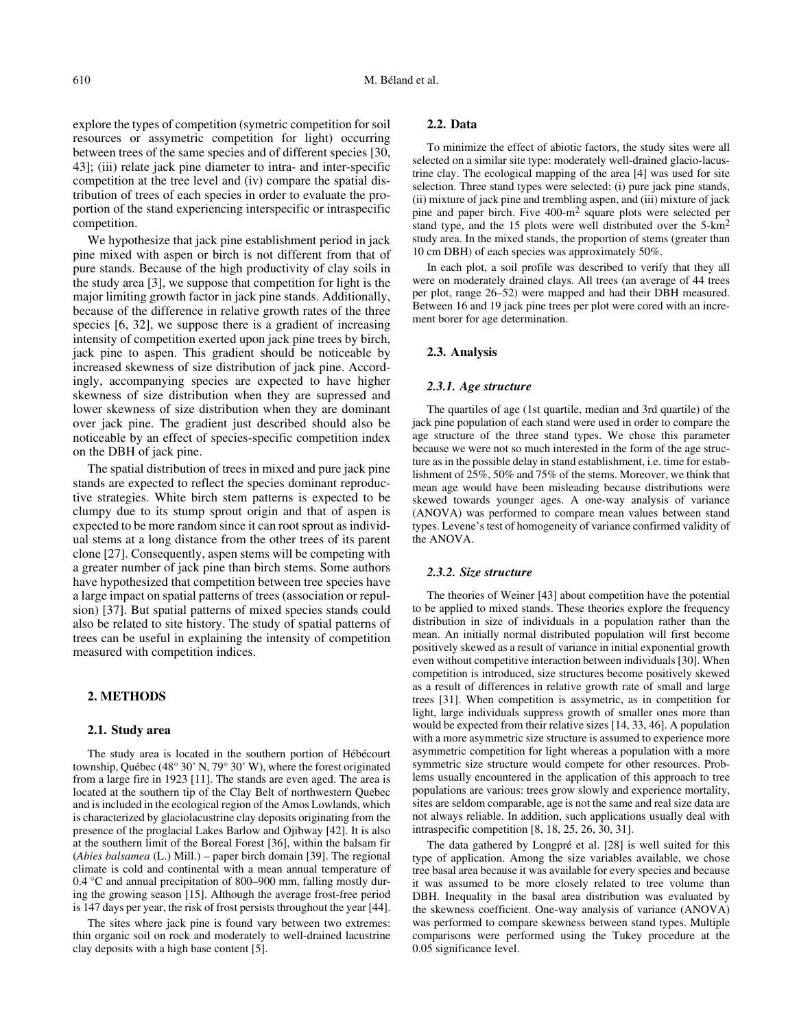explore the types of competition (symetric competition for soil resources or assymetric competition for light) occurring between trees of the same species and of different species [30, 43]; (iii) relate jack pine diameter to intra- and inter-specific competition at the tree level and (iv) compare the spatial distribution of trees of each species in order to evaluate the proportion of the stand experiencing interspecific or intraspecific competition.

We hypothesize that jack pine establishment period in jack pine mixed with aspen or birch is not different from that of pure stands. Because of the high productivity of clay soils in the study area [3], we suppose that competition for light is the major limiting growth factor in jack pine stands. Additionally, because of the difference in relative growth rates of the three species [6, 32], we suppose there is a gradient of increasing intensity of competition exerted upon jack pine trees by birch, jack pine to aspen. This gradient should be noticeable by increased skewness of size distribution of jack pine. Accordingly, accompanying species are expected to have higher skewness of size distribution when they are supressed and lower skewness of size distribution when they are dominant over jack pine. The gradient just described should also be noticeable by an effect of species-specific competition index on the DBH of jack pine.

The spatial distribution of trees in mixed and pure jack pine stands are expected to reflect the species dominant reproductive strategies. White birch stem patterns is expected to be clumpy due to its stump sprout origin and that of aspen is expected to be more random since it can root sprout as individual stems at a long distance from the other trees of its parent clone [27]. Consequently, aspen stems will be competing with a greater number of jack pine than birch stems. Some authors have hypothesized that competition between tree species have a large impact on spatial patterns of trees (association or repulsion) [37]. But spatial patterns of mixed species stands could also be related to site history. The study of spatial patterns of trees can be useful in explaining the intensity of competition measured with competition indices.

# **2. METHODS**

## **2.1. Study area**

The study area is located in the southern portion of Hébécourt township, Québec (48° 30' N, 79° 30' W), where the forest originated from a large fire in 1923 [11]. The stands are even aged. The area is located at the southern tip of the Clay Belt of northwestern Quebec and is included in the ecological region of the Amos Lowlands, which is characterized by glaciolacustrine clay deposits originating from the presence of the proglacial Lakes Barlow and Ojibway [42]. It is also at the southern limit of the Boreal Forest [36], within the balsam fir (*Abies balsamea* (L.) Mill.) – paper birch domain [39]. The regional climate is cold and continental with a mean annual temperature of 0.4 °C and annual precipitation of 800–900 mm, falling mostly during the growing season [15]. Although the average frost-free period is 147 days per year, the risk of frost persists throughout the year [44].

The sites where jack pine is found vary between two extremes: thin organic soil on rock and moderately to well-drained lacustrine clay deposits with a high base content [5].

#### **2.2. Data**

To minimize the effect of abiotic factors, the study sites were all selected on a similar site type: moderately well-drained glacio-lacustrine clay. The ecological mapping of the area [4] was used for site selection. Three stand types were selected: (i) pure jack pine stands, (ii) mixture of jack pine and trembling aspen, and (iii) mixture of jack pine and paper birch. Five 400-m2 square plots were selected per stand type, and the 15 plots were well distributed over the 5-km2 study area. In the mixed stands, the proportion of stems (greater than 10 cm DBH) of each species was approximately 50%.

In each plot, a soil profile was described to verify that they all were on moderately drained clays. All trees (an average of 44 trees per plot, range 26–52) were mapped and had their DBH measured. Between 16 and 19 jack pine trees per plot were cored with an increment borer for age determination.

#### **2.3. Analysis**

#### *2.3.1. Age structure*

The quartiles of age (1st quartile, median and 3rd quartile) of the jack pine population of each stand were used in order to compare the age structure of the three stand types. We chose this parameter because we were not so much interested in the form of the age structure as in the possible delay in stand establishment, i.e. time for establishment of 25%, 50% and 75% of the stems. Moreover, we think that mean age would have been misleading because distributions were skewed towards younger ages. A one-way analysis of variance (ANOVA) was performed to compare mean values between stand types. Levene's test of homogeneity of variance confirmed validity of the ANOVA.

#### *2.3.2. Size structure*

The theories of Weiner [43] about competition have the potential to be applied to mixed stands. These theories explore the frequency distribution in size of individuals in a population rather than the mean. An initially normal distributed population will first become positively skewed as a result of variance in initial exponential growth even without competitive interaction between individuals [30]. When competition is introduced, size structures become positively skewed as a result of differences in relative growth rate of small and large trees [31]. When competition is assymetric, as in competition for light, large individuals suppress growth of smaller ones more than would be expected from their relative sizes [14, 33, 46]. A population with a more asymmetric size structure is assumed to experience more asymmetric competition for light whereas a population with a more symmetric size structure would compete for other resources. Problems usually encountered in the application of this approach to tree populations are various: trees grow slowly and experience mortality, sites are seldom comparable, age is not the same and real size data are not always reliable. In addition, such applications usually deal with intraspecific competition [8, 18, 25, 26, 30, 31].

The data gathered by Longpré et al. [28] is well suited for this type of application. Among the size variables available, we chose tree basal area because it was available for every species and because it was assumed to be more closely related to tree volume than DBH. Inequality in the basal area distribution was evaluated by the skewness coefficient. One-way analysis of variance (ANOVA) was performed to compare skewness between stand types. Multiple comparisons were performed using the Tukey procedure at the 0.05 significance level.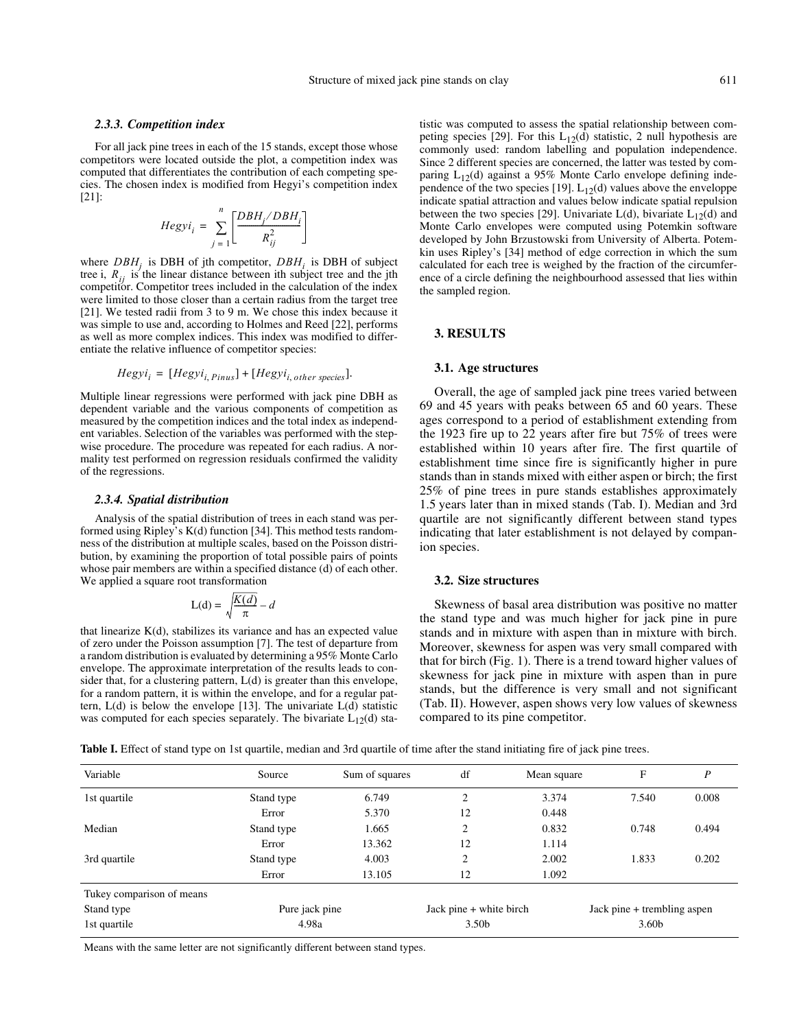## *2.3.3. Competition index*

For all jack pine trees in each of the 15 stands, except those whose competitors were located outside the plot, a competition index was computed that differentiates the contribution of each competing species. The chosen index is modified from Hegyi's competition index [21]:

$$
Hegyi_i = \sum_{j=1}^{n} \left[ \frac{DBH_j / DBH_i}{R_{ij}^2} \right]
$$

where  $DBH_j$  is DBH of jth competitor,  $DBH_j$  is DBH of subject tree i,  $R_{ij}$  is the linear distance between ith subject tree and the jth competitor. Competitor trees included in the calculation of the index were limited to those closer than a certain radius from the target tree [21]. We tested radii from 3 to 9 m. We chose this index because it was simple to use and, according to Holmes and Reed [22], performs as well as more complex indices. This index was modified to differentiate the relative influence of competitor species:

$$
Hegyi_i = [Hegyi_{i, Pinus}] + [Hegyi_{i, other species}].
$$

Multiple linear regressions were performed with jack pine DBH as dependent variable and the various components of competition as measured by the competition indices and the total index as independent variables. Selection of the variables was performed with the stepwise procedure. The procedure was repeated for each radius. A normality test performed on regression residuals confirmed the validity of the regressions.

#### *2.3.4. Spatial distribution*

Analysis of the spatial distribution of trees in each stand was performed using Ripley's K(d) function [34]. This method tests randomness of the distribution at multiple scales, based on the Poisson distribution, by examining the proportion of total possible pairs of points whose pair members are within a specified distance (d) of each other. We applied a square root transformation

$$
L(d) = \sqrt{\frac{K(d)}{\pi}} - d
$$

that linearize  $K(d)$ , stabilizes its variance and has an expected value of zero under the Poisson assumption [7]. The test of departure from a random distribution is evaluated by determining a 95% Monte Carlo envelope. The approximate interpretation of the results leads to consider that, for a clustering pattern, L(d) is greater than this envelope, for a random pattern, it is within the envelope, and for a regular pattern,  $L(d)$  is below the envelope [13]. The univariate  $L(d)$  statistic was computed for each species separately. The bivariate  $L_{12}(d)$  sta-

tistic was computed to assess the spatial relationship between competing species [29]. For this  $L_{12}(d)$  statistic, 2 null hypothesis are commonly used: random labelling and population independence. Since 2 different species are concerned, the latter was tested by comparing  $L_{12}(d)$  against a 95% Monte Carlo envelope defining independence of the two species [19].  $L_{12}(d)$  values above the enveloppe indicate spatial attraction and values below indicate spatial repulsion between the two species [29]. Univariate  $L(d)$ , bivariate  $L_{12}(d)$  and Monte Carlo envelopes were computed using Potemkin software developed by John Brzustowski from University of Alberta. Potemkin uses Ripley's [34] method of edge correction in which the sum calculated for each tree is weighed by the fraction of the circumference of a circle defining the neighbourhood assessed that lies within the sampled region.

### **3. RESULTS**

#### **3.1. Age structures**

Overall, the age of sampled jack pine trees varied between 69 and 45 years with peaks between 65 and 60 years. These ages correspond to a period of establishment extending from the 1923 fire up to 22 years after fire but 75% of trees were established within 10 years after fire. The first quartile of establishment time since fire is significantly higher in pure stands than in stands mixed with either aspen or birch; the first 25% of pine trees in pure stands establishes approximately 1.5 years later than in mixed stands (Tab. I). Median and 3rd quartile are not significantly different between stand types indicating that later establishment is not delayed by companion species.

## **3.2. Size structures**

Skewness of basal area distribution was positive no matter the stand type and was much higher for jack pine in pure stands and in mixture with aspen than in mixture with birch. Moreover, skewness for aspen was very small compared with that for birch (Fig. 1). There is a trend toward higher values of skewness for jack pine in mixture with aspen than in pure stands, but the difference is very small and not significant (Tab. II). However, aspen shows very low values of skewness compared to its pine competitor.

Table I. Effect of stand type on 1st quartile, median and 3rd quartile of time after the stand initiating fire of jack pine trees.

| Variable                  | Source         | Sum of squares | df                      | Mean square | F                           | P     |
|---------------------------|----------------|----------------|-------------------------|-------------|-----------------------------|-------|
| 1st quartile              | Stand type     | 6.749          | $\overline{c}$          | 3.374       | 7.540                       | 0.008 |
|                           | Error          | 5.370          | 12                      | 0.448       |                             |       |
| Median                    | Stand type     | 1.665          | $\overline{2}$          | 0.832       | 0.748                       | 0.494 |
|                           | Error          | 13.362         | 12                      | 1.114       |                             |       |
| 3rd quartile              | Stand type     | 4.003          | $\overline{2}$          | 2.002       | 1.833                       | 0.202 |
|                           | Error          | 13.105         | 12                      | 1.092       |                             |       |
| Tukey comparison of means |                |                |                         |             |                             |       |
| Stand type                | Pure jack pine |                | Jack pine + white birch |             | Jack pine + trembling aspen |       |
| 1st quartile              | 4.98a          |                | 3.50 <sub>b</sub>       |             | 3.60b                       |       |

Means with the same letter are not significantly different between stand types.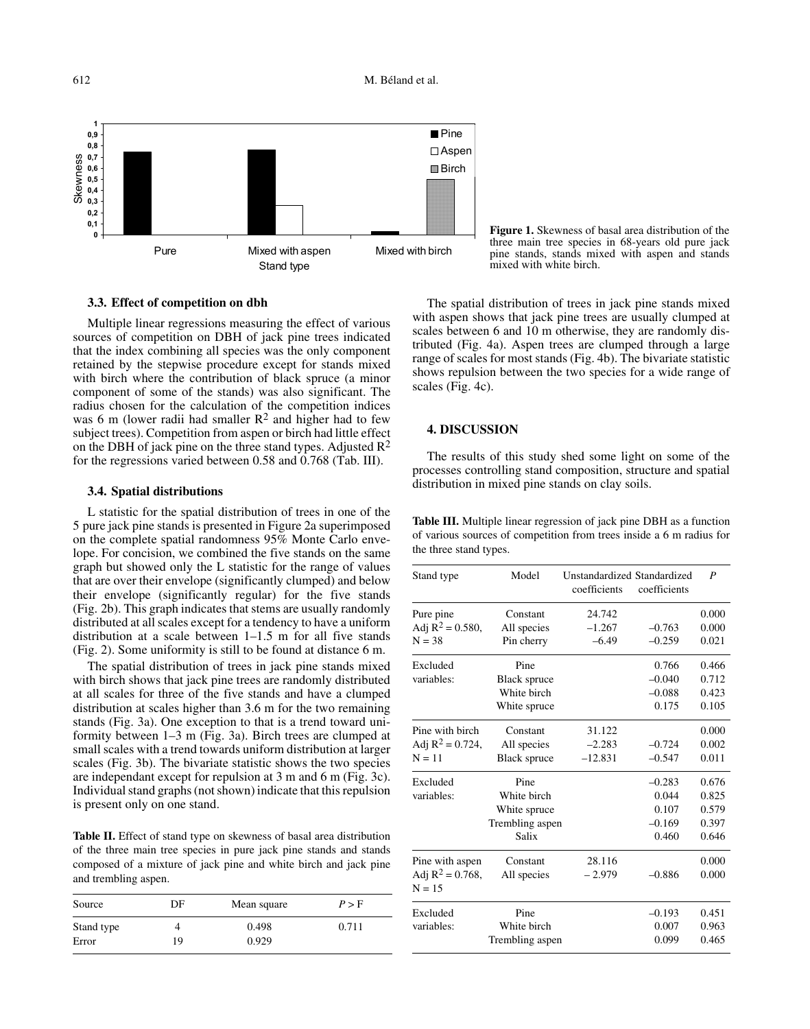612 M. Béland et al.



**3.3. Effect of competition on dbh**

Multiple linear regressions measuring the effect of various sources of competition on DBH of jack pine trees indicated that the index combining all species was the only component retained by the stepwise procedure except for stands mixed with birch where the contribution of black spruce (a minor component of some of the stands) was also significant. The radius chosen for the calculation of the competition indices was 6 m (lower radii had smaller  $\mathbb{R}^2$  and higher had to few subject trees). Competition from aspen or birch had little effect on the DBH of jack pine on the three stand types. Adjusted  $\mathbb{R}^2$ for the regressions varied between 0.58 and 0.768 (Tab. III).

# **3.4. Spatial distributions**

L statistic for the spatial distribution of trees in one of the 5 pure jack pine stands is presented in Figure 2a superimposed on the complete spatial randomness 95% Monte Carlo envelope. For concision, we combined the five stands on the same graph but showed only the L statistic for the range of values that are over their envelope (significantly clumped) and below their envelope (significantly regular) for the five stands (Fig. 2b). This graph indicates that stems are usually randomly distributed at all scales except for a tendency to have a uniform distribution at a scale between 1–1.5 m for all five stands (Fig. 2). Some uniformity is still to be found at distance 6 m.

The spatial distribution of trees in jack pine stands mixed with birch shows that jack pine trees are randomly distributed at all scales for three of the five stands and have a clumped distribution at scales higher than 3.6 m for the two remaining stands (Fig. 3a). One exception to that is a trend toward uniformity between 1–3 m (Fig. 3a). Birch trees are clumped at small scales with a trend towards uniform distribution at larger scales (Fig. 3b). The bivariate statistic shows the two species are independant except for repulsion at 3 m and 6 m (Fig. 3c). Individual stand graphs (not shown) indicate that this repulsion is present only on one stand.

Table II. Effect of stand type on skewness of basal area distribution of the three main tree species in pure jack pine stands and stands composed of a mixture of jack pine and white birch and jack pine and trembling aspen.

| Source     | DF | Mean square | P > F |  |
|------------|----|-------------|-------|--|
| Stand type |    | 0.498       | 0.711 |  |
| Error      | 19 | 0.929       |       |  |

**Figure 1.** Skewness of basal area distribution of the three main tree species in 68-years old pure jack pine stands, stands mixed with aspen and stands mixed with white birch.

The spatial distribution of trees in jack pine stands mixed with aspen shows that jack pine trees are usually clumped at scales between 6 and 10 m otherwise, they are randomly distributed (Fig. 4a). Aspen trees are clumped through a large range of scales for most stands (Fig. 4b). The bivariate statistic shows repulsion between the two species for a wide range of scales (Fig. 4c).

# **4. DISCUSSION**

The results of this study shed some light on some of the processes controlling stand composition, structure and spatial distribution in mixed pine stands on clay soils.

**Table III.** Multiple linear regression of jack pine DBH as a function of various sources of competition from trees inside a 6 m radius for the three stand types.

| Stand type                      | Model               | Unstandardized Standardized<br>coefficients | coefficients | $\boldsymbol{P}$ |
|---------------------------------|---------------------|---------------------------------------------|--------------|------------------|
| Pure pine                       | Constant            | 24.742                                      |              | 0.000            |
| Adj $R^2 = 0.580$ ,             | All species         | $-1.267$                                    | $-0.763$     | 0.000            |
| $N = 38$                        | Pin cherry          | $-6.49$                                     | $-0.259$     | 0.021            |
| Excluded                        | Pine                |                                             | 0.766        | 0.466            |
| variables:                      | <b>Black spruce</b> |                                             | $-0.040$     | 0.712            |
|                                 | White birch         |                                             | $-0.088$     | 0.423            |
|                                 | White spruce        |                                             | 0.175        | 0.105            |
| Pine with hirch                 | Constant            | 31.122                                      |              | 0.000            |
| Adj $R^2 = 0.724$ ,             | All species         | $-2.283$                                    | $-0.724$     | 0.002            |
| $N = 11$                        | <b>Black spruce</b> | $-12.831$                                   | $-0.547$     | 0.011            |
| Excluded                        | Pine                |                                             | $-0.283$     | 0.676            |
| variables:                      | White birch         |                                             | 0.044        | 0.825            |
|                                 | White spruce        |                                             | 0.107        | 0.579            |
|                                 | Trembling aspen     |                                             | $-0.169$     | 0.397            |
|                                 | Salix               |                                             | 0.460        | 0.646            |
| Pine with aspen                 | Constant            | 28.116                                      |              | 0.000            |
| Adj $R^2 = 0.768$ ,<br>$N = 15$ | All species         | $-2.979$                                    | $-0.886$     | 0.000            |
| Excluded                        | Pine                |                                             | $-0.193$     | 0.451            |
| variables:                      | White birch         |                                             | 0.007        | 0.963            |
|                                 | Trembling aspen     |                                             | 0.099        | 0.465            |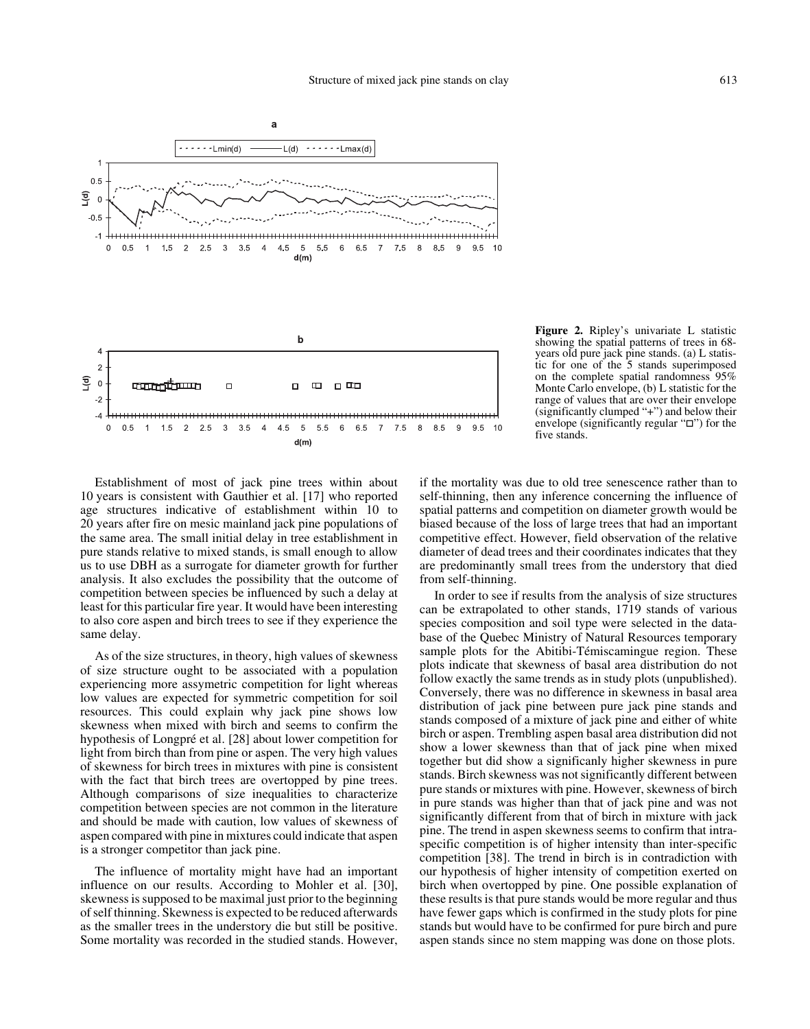

**Figure 2.** Ripley's univariate L statistic showing the spatial patterns of trees in 68 years old pure jack pine stands. (a) L statistic for one of the 5 stands superimposed on the complete spatial randomness 95% Monte Carlo envelope, (b) L statistic for the range of values that are over their envelope (significantly clumped "+") and below their envelope (significantly regular " $\square$ ") for the five stands.

Establishment of most of jack pine trees within about 10 years is consistent with Gauthier et al. [17] who reported age structures indicative of establishment within 10 to 20 years after fire on mesic mainland jack pine populations of the same area. The small initial delay in tree establishment in pure stands relative to mixed stands, is small enough to allow us to use DBH as a surrogate for diameter growth for further analysis. It also excludes the possibility that the outcome of competition between species be influenced by such a delay at least for this particular fire year. It would have been interesting to also core aspen and birch trees to see if they experience the same delay.

As of the size structures, in theory, high values of skewness of size structure ought to be associated with a population experiencing more assymetric competition for light whereas low values are expected for symmetric competition for soil resources. This could explain why jack pine shows low skewness when mixed with birch and seems to confirm the hypothesis of Longpré et al. [28] about lower competition for light from birch than from pine or aspen. The very high values of skewness for birch trees in mixtures with pine is consistent with the fact that birch trees are overtopped by pine trees. Although comparisons of size inequalities to characterize competition between species are not common in the literature and should be made with caution, low values of skewness of aspen compared with pine in mixtures could indicate that aspen is a stronger competitor than jack pine.

The influence of mortality might have had an important influence on our results. According to Mohler et al. [30], skewness is supposed to be maximal just prior to the beginning of self thinning. Skewness is expected to be reduced afterwards as the smaller trees in the understory die but still be positive. Some mortality was recorded in the studied stands. However,

if the mortality was due to old tree senescence rather than to self-thinning, then any inference concerning the influence of spatial patterns and competition on diameter growth would be biased because of the loss of large trees that had an important competitive effect. However, field observation of the relative diameter of dead trees and their coordinates indicates that they are predominantly small trees from the understory that died from self-thinning.

In order to see if results from the analysis of size structures can be extrapolated to other stands, 1719 stands of various species composition and soil type were selected in the database of the Quebec Ministry of Natural Resources temporary sample plots for the Abitibi-Témiscamingue region. These plots indicate that skewness of basal area distribution do not follow exactly the same trends as in study plots (unpublished). Conversely, there was no difference in skewness in basal area distribution of jack pine between pure jack pine stands and stands composed of a mixture of jack pine and either of white birch or aspen. Trembling aspen basal area distribution did not show a lower skewness than that of jack pine when mixed together but did show a significanly higher skewness in pure stands. Birch skewness was not significantly different between pure stands or mixtures with pine. However, skewness of birch in pure stands was higher than that of jack pine and was not significantly different from that of birch in mixture with jack pine. The trend in aspen skewness seems to confirm that intraspecific competition is of higher intensity than inter-specific competition [38]. The trend in birch is in contradiction with our hypothesis of higher intensity of competition exerted on birch when overtopped by pine. One possible explanation of these results is that pure stands would be more regular and thus have fewer gaps which is confirmed in the study plots for pine stands but would have to be confirmed for pure birch and pure aspen stands since no stem mapping was done on those plots.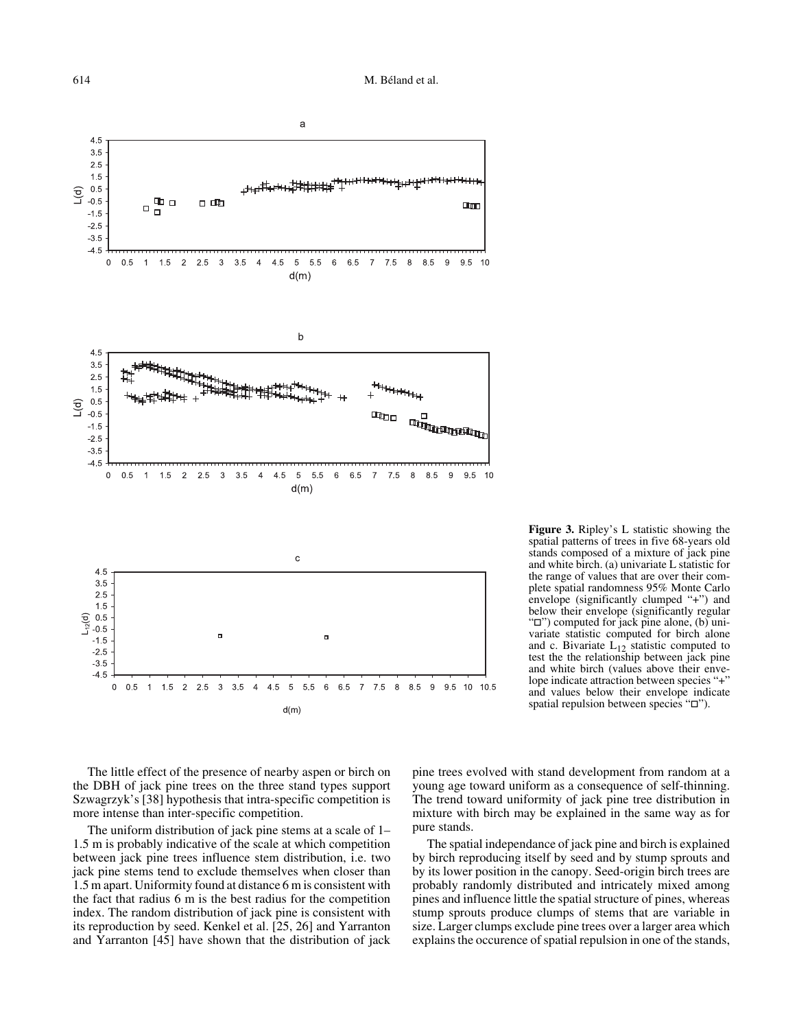

**Figure 3.** Ripley's L statistic showing the spatial patterns of trees in five 68-years old stands composed of a mixture of jack pine and white birch. (a) univariate L statistic for the range of values that are over their complete spatial randomness 95% Monte Carlo envelope (significantly clumped "+") and below their envelope (significantly regular "") computed for jack pine alone, (b) univariate statistic computed for birch alone and c. Bivariate  $L_{12}$  statistic computed to test the the relationship between jack pine and white birch (values above their envelope indicate attraction between species "+" and values below their envelope indicate spatial repulsion between species " $\square$ ").

The little effect of the presence of nearby aspen or birch on the DBH of jack pine trees on the three stand types support Szwagrzyk's [38] hypothesis that intra-specific competition is more intense than inter-specific competition.

The uniform distribution of jack pine stems at a scale of 1– 1.5 m is probably indicative of the scale at which competition between jack pine trees influence stem distribution, i.e. two jack pine stems tend to exclude themselves when closer than 1.5 m apart. Uniformity found at distance 6 m is consistent with the fact that radius 6 m is the best radius for the competition index. The random distribution of jack pine is consistent with its reproduction by seed. Kenkel et al. [25, 26] and Yarranton and Yarranton [45] have shown that the distribution of jack pine trees evolved with stand development from random at a young age toward uniform as a consequence of self-thinning. The trend toward uniformity of jack pine tree distribution in mixture with birch may be explained in the same way as for pure stands.

The spatial independance of jack pine and birch is explained by birch reproducing itself by seed and by stump sprouts and by its lower position in the canopy. Seed-origin birch trees are probably randomly distributed and intricately mixed among pines and influence little the spatial structure of pines, whereas stump sprouts produce clumps of stems that are variable in size. Larger clumps exclude pine trees over a larger area which explains the occurence of spatial repulsion in one of the stands,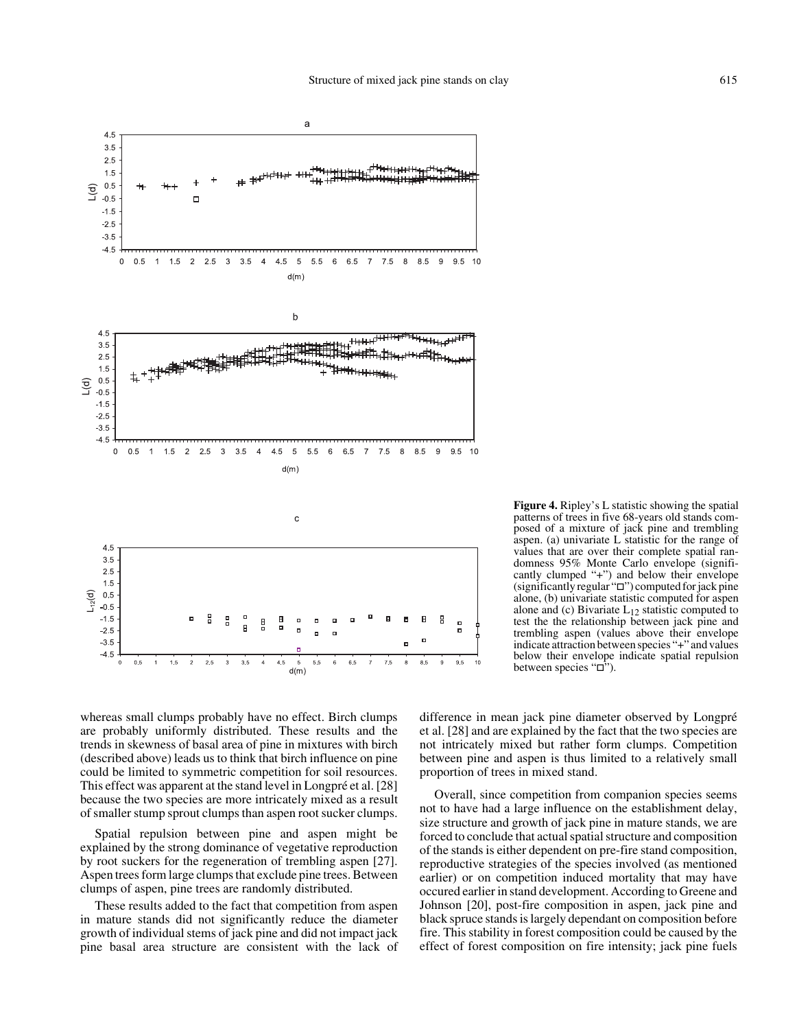

**Figure 4.** Ripley's L statistic showing the spatial patterns of trees in five 68-years old stands composed of a mixture of jack pine and trembling aspen. (a) univariate L statistic for the range of values that are over their complete spatial randomness 95% Monte Carlo envelope (significantly clumped "+") and below their envelope (significantly regular " $\square$ ") computed for jack pine alone, (b) univariate statistic computed for aspen alone and (c) Bivariate  $L_{12}$  statistic computed to test the the relationship between jack pine and trembling aspen (values above their envelope indicate attraction between species "+" and values below their envelope indicate spatial repulsion between species " $\square$ ").

whereas small clumps probably have no effect. Birch clumps are probably uniformly distributed. These results and the trends in skewness of basal area of pine in mixtures with birch (described above) leads us to think that birch influence on pine could be limited to symmetric competition for soil resources. This effect was apparent at the stand level in Longpré et al. [28] because the two species are more intricately mixed as a result of smaller stump sprout clumps than aspen root sucker clumps.

Spatial repulsion between pine and aspen might be explained by the strong dominance of vegetative reproduction by root suckers for the regeneration of trembling aspen [27]. Aspen trees form large clumps that exclude pine trees. Between clumps of aspen, pine trees are randomly distributed.

These results added to the fact that competition from aspen in mature stands did not significantly reduce the diameter growth of individual stems of jack pine and did not impact jack pine basal area structure are consistent with the lack of difference in mean jack pine diameter observed by Longpré et al. [28] and are explained by the fact that the two species are not intricately mixed but rather form clumps. Competition between pine and aspen is thus limited to a relatively small proportion of trees in mixed stand.

Overall, since competition from companion species seems not to have had a large influence on the establishment delay, size structure and growth of jack pine in mature stands, we are forced to conclude that actual spatial structure and composition of the stands is either dependent on pre-fire stand composition, reproductive strategies of the species involved (as mentioned earlier) or on competition induced mortality that may have occured earlier in stand development. According to Greene and Johnson [20], post-fire composition in aspen, jack pine and black spruce stands is largely dependant on composition before fire. This stability in forest composition could be caused by the effect of forest composition on fire intensity; jack pine fuels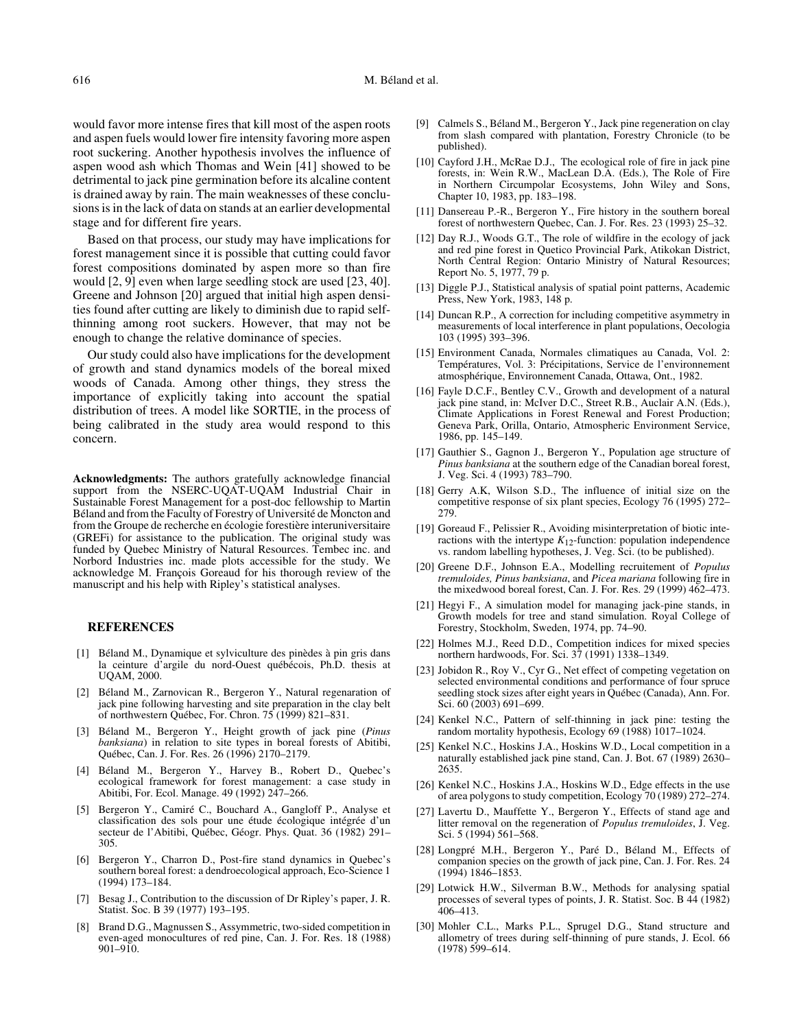would favor more intense fires that kill most of the aspen roots and aspen fuels would lower fire intensity favoring more aspen root suckering. Another hypothesis involves the influence of aspen wood ash which Thomas and Wein [41] showed to be detrimental to jack pine germination before its alcaline content is drained away by rain. The main weaknesses of these conclusions is in the lack of data on stands at an earlier developmental stage and for different fire years.

Based on that process, our study may have implications for forest management since it is possible that cutting could favor forest compositions dominated by aspen more so than fire would [2, 9] even when large seedling stock are used [23, 40]. Greene and Johnson [20] argued that initial high aspen densities found after cutting are likely to diminish due to rapid selfthinning among root suckers. However, that may not be enough to change the relative dominance of species.

Our study could also have implications for the development of growth and stand dynamics models of the boreal mixed woods of Canada. Among other things, they stress the importance of explicitly taking into account the spatial distribution of trees. A model like SORTIE, in the process of being calibrated in the study area would respond to this concern.

**Acknowledgments:** The authors gratefully acknowledge financial support from the NSERC-UQAT-UQAM Industrial Chair in Sustainable Forest Management for a post-doc fellowship to Martin Béland and from the Faculty of Forestry of Université de Moncton and from the Groupe de recherche en écologie forestière interuniversitaire (GREFi) for assistance to the publication. The original study was funded by Quebec Ministry of Natural Resources. Tembec inc. and Norbord Industries inc. made plots accessible for the study. We acknowledge M. François Goreaud for his thorough review of the manuscript and his help with Ripley's statistical analyses.

## **REFERENCES**

- [1] Béland M., Dynamique et sylviculture des pinèdes à pin gris dans la ceinture d'argile du nord-Ouest québécois, Ph.D. thesis at UQAM, 2000.
- [2] Béland M., Zarnovican R., Bergeron Y., Natural regenaration of jack pine following harvesting and site preparation in the clay belt of northwestern Québec, For. Chron. 75 (1999) 821–831.
- [3] Béland M., Bergeron Y., Height growth of jack pine (*Pinus banksiana*) in relation to site types in boreal forests of Abitibi, Québec, Can. J. For. Res. 26 (1996) 2170–2179.
- [4] Béland M., Bergeron Y., Harvey B., Robert D., Quebec's ecological framework for forest management: a case study in Abitibi, For. Ecol. Manage. 49 (1992) 247–266.
- [5] Bergeron Y., Camiré C., Bouchard A., Gangloff P., Analyse et classification des sols pour une étude écologique intégrée d'un secteur de l'Abitibi, Québec, Géogr. Phys. Quat. 36 (1982) 291– 305.
- [6] Bergeron Y., Charron D., Post-fire stand dynamics in Quebec's southern boreal forest: a dendroecological approach, Eco-Science 1 (1994) 173–184.
- [7] Besag J., Contribution to the discussion of Dr Ripley's paper, J. R. Statist. Soc. B 39 (1977) 193–195.
- [8] Brand D.G., Magnussen S., Assymmetric, two-sided competition in even-aged monocultures of red pine, Can. J. For. Res. 18 (1988) 901–910.
- [9] Calmels S., Béland M., Bergeron Y., Jack pine regeneration on clay from slash compared with plantation, Forestry Chronicle (to be published).
- [10] Cayford J.H., McRae D.J., The ecological role of fire in jack pine forests, in: Wein R.W., MacLean D.A. (Eds.), The Role of Fire in Northern Circumpolar Ecosystems, John Wiley and Sons, Chapter 10, 1983, pp. 183–198.
- [11] Dansereau P.-R., Bergeron Y., Fire history in the southern boreal forest of northwestern Quebec, Can. J. For. Res. 23 (1993) 25–32.
- [12] Day R.J., Woods G.T., The role of wildfire in the ecology of jack and red pine forest in Quetico Provincial Park, Atikokan District, North Central Region: Ontario Ministry of Natural Resources; Report No. 5, 1977, 79 p.
- [13] Diggle P.J., Statistical analysis of spatial point patterns, Academic Press, New York, 1983, 148 p.
- [14] Duncan R.P., A correction for including competitive asymmetry in measurements of local interference in plant populations, Oecologia 103 (1995) 393–396.
- [15] Environment Canada, Normales climatiques au Canada, Vol. 2: Températures, Vol. 3: Précipitations, Service de l'environnement atmosphérique, Environnement Canada, Ottawa, Ont., 1982.
- [16] Fayle D.C.F., Bentley C.V., Growth and development of a natural jack pine stand, in: McIver D.C., Street R.B., Auclair A.N. (Eds.), Climate Applications in Forest Renewal and Forest Production; Geneva Park, Orilla, Ontario, Atmospheric Environment Service, 1986, pp. 145–149.
- [17] Gauthier S., Gagnon J., Bergeron Y., Population age structure of *Pinus banksiana* at the southern edge of the Canadian boreal forest, J. Veg. Sci. 4 (1993) 783–790.
- [18] Gerry A.K, Wilson S.D., The influence of initial size on the competitive response of six plant species, Ecology 76 (1995) 272– 279.
- [19] Goreaud F., Pelissier R., Avoiding misinterpretation of biotic interactions with the intertype  $K_{12}$ -function: population independence vs. random labelling hypotheses, J. Veg. Sci. (to be published).
- [20] Greene D.F., Johnson E.A., Modelling recruitement of *Populus tremuloides, Pinus banksiana*, and *Picea mariana* following fire in the mixedwood boreal forest, Can. J. For. Res. 29 (1999) 462–473.
- [21] Hegyi F., A simulation model for managing jack-pine stands, in Growth models for tree and stand simulation. Royal College of Forestry, Stockholm, Sweden, 1974, pp. 74–90.
- [22] Holmes M.J., Reed D.D., Competition indices for mixed species northern hardwoods, For. Sci. 37 (1991) 1338–1349.
- [23] Jobidon R., Roy V., Cyr G., Net effect of competing vegetation on selected environmental conditions and performance of four spruce seedling stock sizes after eight years in Québec (Canada), Ann. For. Sci. 60 (2003) 691–699.
- [24] Kenkel N.C., Pattern of self-thinning in jack pine: testing the random mortality hypothesis, Ecology 69 (1988) 1017–1024.
- [25] Kenkel N.C., Hoskins J.A., Hoskins W.D., Local competition in a naturally established jack pine stand, Can. J. Bot. 67 (1989) 2630– 2635.
- [26] Kenkel N.C., Hoskins J.A., Hoskins W.D., Edge effects in the use of area polygons to study competition, Ecology 70 (1989) 272–274.
- Lavertu D., Mauffette Y., Bergeron Y., Effects of stand age and litter removal on the regeneration of *Populus tremuloides*, J. Veg. Sci. 5 (1994) 561–568.
- [28] Longpré M.H., Bergeron Y., Paré D., Béland M., Effects of companion species on the growth of jack pine, Can. J. For. Res. 24 (1994) 1846–1853.
- [29] Lotwick H.W., Silverman B.W., Methods for analysing spatial processes of several types of points, J. R. Statist. Soc. B 44 (1982) 406–413.
- [30] Mohler C.L., Marks P.L., Sprugel D.G., Stand structure and allometry of trees during self-thinning of pure stands, J. Ecol. 66 (1978) 599–614.